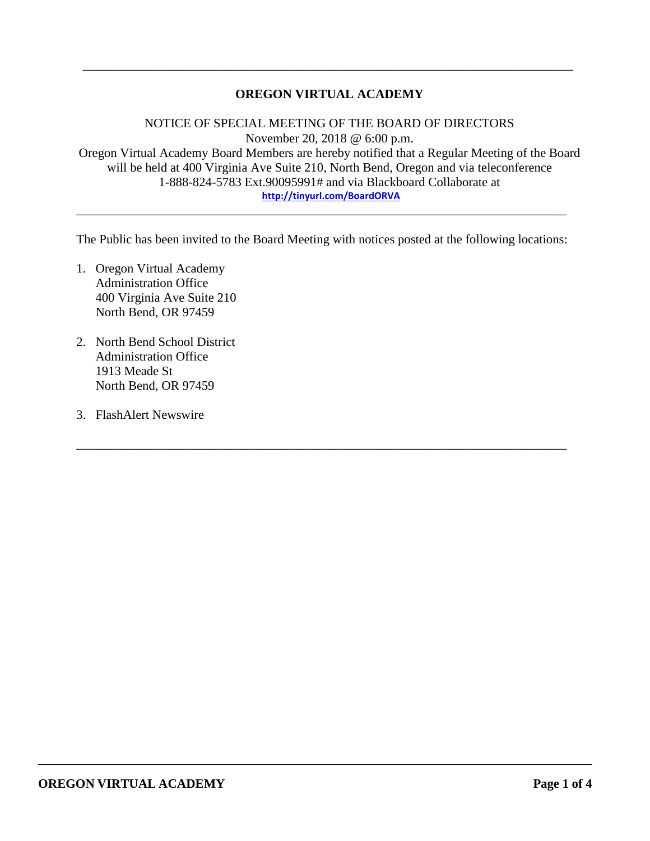# **OREGON VIRTUAL ACADEMY**

\_\_\_\_\_\_\_\_\_\_\_\_\_\_\_\_\_\_\_\_\_\_\_\_\_\_\_\_\_\_\_\_\_\_\_\_\_\_\_\_\_\_\_\_\_\_\_\_\_\_\_\_\_\_\_\_\_\_\_\_\_\_\_\_\_\_\_\_\_\_\_\_\_\_\_\_\_

NOTICE OF SPECIAL MEETING OF THE BOARD OF DIRECTORS November 20, 2018 @ 6:00 p.m. Oregon Virtual Academy Board Members are hereby notified that a Regular Meeting of the Board will be held at 400 Virginia Ave Suite 210, North Bend, Oregon and via teleconference 1-888-824-5783 Ext.90095991# and via Blackboard Collaborate at **<http://tinyurl.com/BoardORVA>**

The Public has been invited to the Board Meeting with notices posted at the following locations:

\_\_\_\_\_\_\_\_\_\_\_\_\_\_\_\_\_\_\_\_\_\_\_\_\_\_\_\_\_\_\_\_\_\_\_\_\_\_\_\_\_\_\_\_\_\_\_\_\_\_\_\_\_\_\_\_\_\_\_\_\_\_\_\_\_\_\_\_\_\_\_\_\_\_\_\_\_

\_\_\_\_\_\_\_\_\_\_\_\_\_\_\_\_\_\_\_\_\_\_\_\_\_\_\_\_\_\_\_\_\_\_\_\_\_\_\_\_\_\_\_\_\_\_\_\_\_\_\_\_\_\_\_\_\_\_\_\_\_\_\_\_\_\_\_\_\_\_\_\_\_\_\_\_\_

- 1. Oregon Virtual Academy Administration Office 400 Virginia Ave Suite 210 North Bend, OR 97459
- 2. North Bend School District Administration Office 1913 Meade St North Bend, OR 97459
- 3. FlashAlert Newswire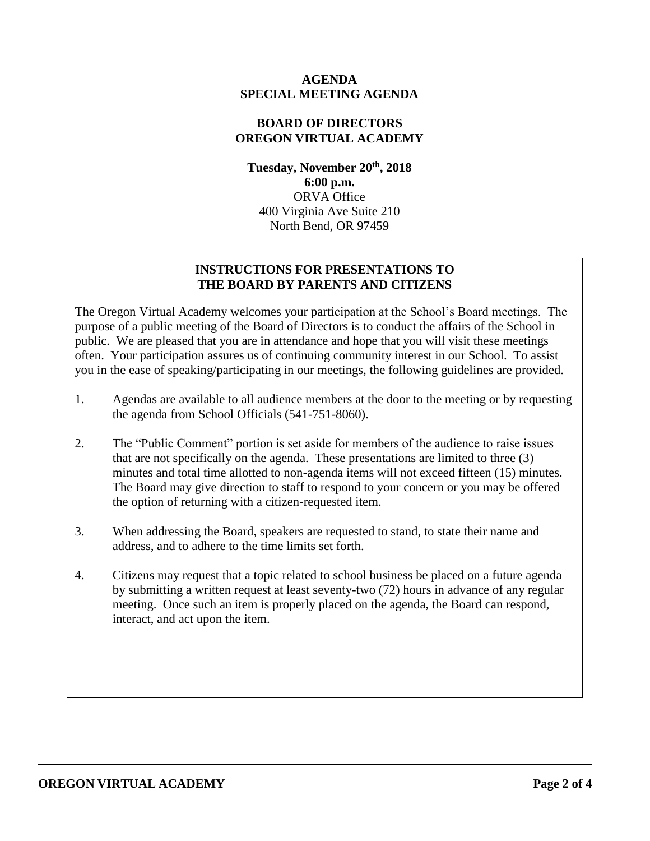### **AGENDA SPECIAL MEETING AGENDA**

#### **BOARD OF DIRECTORS OREGON VIRTUAL ACADEMY**

**Tuesday, November 20th , 2018 6:00 p.m.** ORVA Office 400 Virginia Ave Suite 210 North Bend, OR 97459

# **INSTRUCTIONS FOR PRESENTATIONS TO THE BOARD BY PARENTS AND CITIZENS**

The Oregon Virtual Academy welcomes your participation at the School's Board meetings. The purpose of a public meeting of the Board of Directors is to conduct the affairs of the School in public. We are pleased that you are in attendance and hope that you will visit these meetings often. Your participation assures us of continuing community interest in our School. To assist you in the ease of speaking/participating in our meetings, the following guidelines are provided.

- 1. Agendas are available to all audience members at the door to the meeting or by requesting the agenda from School Officials (541-751-8060).
- 2. The "Public Comment" portion is set aside for members of the audience to raise issues that are not specifically on the agenda. These presentations are limited to three (3) minutes and total time allotted to non-agenda items will not exceed fifteen (15) minutes. The Board may give direction to staff to respond to your concern or you may be offered the option of returning with a citizen-requested item.
- 3. When addressing the Board, speakers are requested to stand, to state their name and address, and to adhere to the time limits set forth.
- 4. Citizens may request that a topic related to school business be placed on a future agenda by submitting a written request at least seventy-two (72) hours in advance of any regular meeting. Once such an item is properly placed on the agenda, the Board can respond, interact, and act upon the item.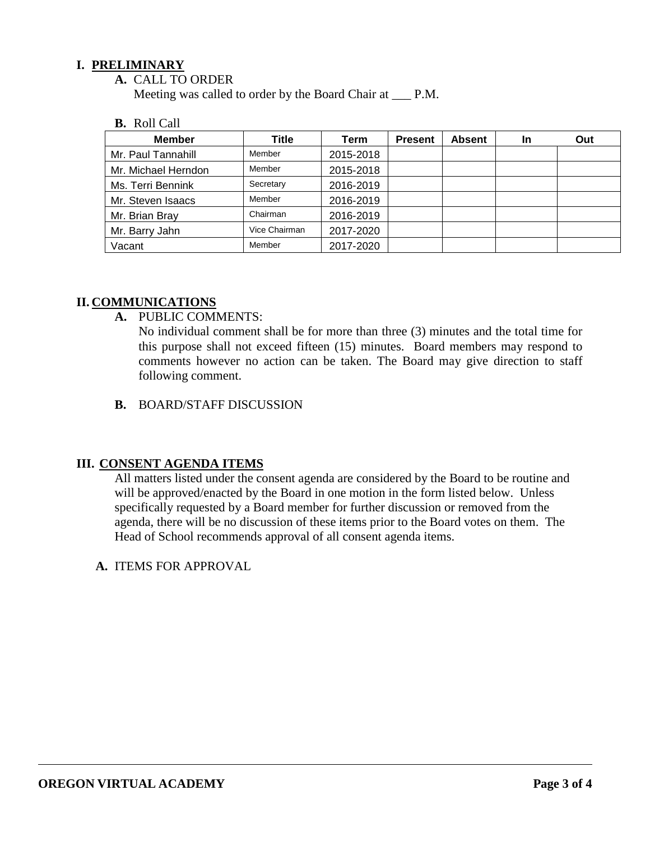### **I. PRELIMINARY**

**A.** CALL TO ORDER

Meeting was called to order by the Board Chair at \_\_\_ P.M.

#### **B.** Roll Call

| <b>Member</b>       | Title         | Term      | <b>Present</b> | <b>Absent</b> | <b>In</b> | Out |
|---------------------|---------------|-----------|----------------|---------------|-----------|-----|
| Mr. Paul Tannahill  | Member        | 2015-2018 |                |               |           |     |
| Mr. Michael Herndon | Member        | 2015-2018 |                |               |           |     |
| Ms. Terri Bennink   | Secretary     | 2016-2019 |                |               |           |     |
| Mr. Steven Isaacs   | Member        | 2016-2019 |                |               |           |     |
| Mr. Brian Bray      | Chairman      | 2016-2019 |                |               |           |     |
| Mr. Barry Jahn      | Vice Chairman | 2017-2020 |                |               |           |     |
| Vacant              | Member        | 2017-2020 |                |               |           |     |

### **II. COMMUNICATIONS**

**A.** PUBLIC COMMENTS:

No individual comment shall be for more than three (3) minutes and the total time for this purpose shall not exceed fifteen (15) minutes. Board members may respond to comments however no action can be taken. The Board may give direction to staff following comment.

**B.** BOARD/STAFF DISCUSSION

# **III. CONSENT AGENDA ITEMS**

All matters listed under the consent agenda are considered by the Board to be routine and will be approved/enacted by the Board in one motion in the form listed below. Unless specifically requested by a Board member for further discussion or removed from the agenda, there will be no discussion of these items prior to the Board votes on them. The Head of School recommends approval of all consent agenda items.

**A.** ITEMS FOR APPROVAL